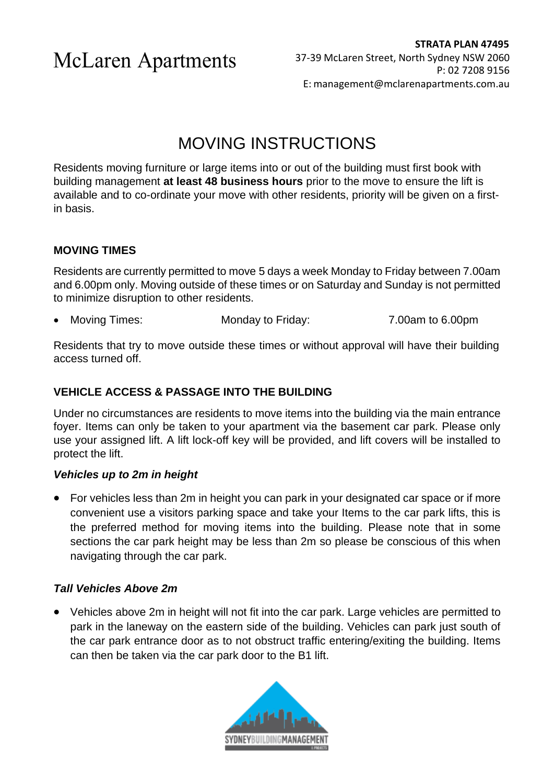# MOVING INSTRUCTIONS

Residents moving furniture or large items into or out of the building must first book with building management **at least 48 business hours** prior to the move to ensure the lift is available and to co-ordinate your move with other residents, priority will be given on a firstin basis.

### **MOVING TIMES**

Residents are currently permitted to move 5 days a week Monday to Friday between 7.00am and 6.00pm only. Moving outside of these times or on Saturday and Sunday is not permitted to minimize disruption to other residents.

• Moving Times: Monday to Friday: 7.00am to 6.00pm

Residents that try to move outside these times or without approval will have their building access turned off.

# **VEHICLE ACCESS & PASSAGE INTO THE BUILDING**

Under no circumstances are residents to move items into the building via the main entrance foyer. Items can only be taken to your apartment via the basement car park. Please only use your assigned lift. A lift lock-off key will be provided, and lift covers will be installed to protect the lift.

#### *Vehicles up to 2m in height*

• For vehicles less than 2m in height you can park in your designated car space or if more convenient use a visitors parking space and take your Items to the car park lifts, this is the preferred method for moving items into the building. Please note that in some sections the car park height may be less than 2m so please be conscious of this when navigating through the car park.

#### *Tall Vehicles Above 2m*

• Vehicles above 2m in height will not fit into the car park. Large vehicles are permitted to park in the laneway on the eastern side of the building. Vehicles can park just south of the car park entrance door as to not obstruct traffic entering/exiting the building. Items can then be taken via the car park door to the B1 lift.

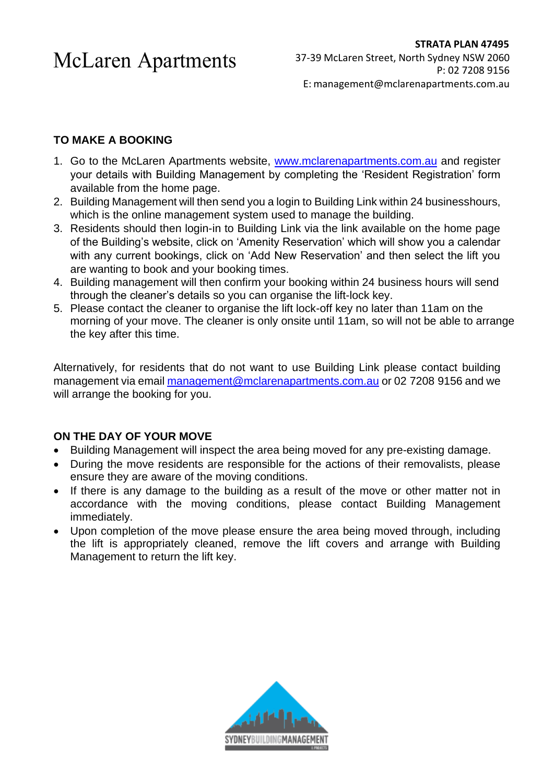### **TO MAKE A BOOKING**

- 1. Go to the McLaren Apartments website, [www.mclarenapartments.com.au](http://www.mclarenapartments.com.au/) and register your details with Building Management by completing the 'Resident Registration' form available from the home page.
- 2. Building Management will then send you a login to Building Link within 24 businesshours, which is the online management system used to manage the building.
- 3. Residents should then login-in to Building Link via the link available on the home page of the Building's website, click on 'Amenity Reservation' which will show you a calendar with any current bookings, click on 'Add New Reservation' and then select the lift you are wanting to book and your booking times.
- 4. Building management will then confirm your booking within 24 business hours will send through the cleaner's details so you can organise the lift-lock key.
- 5. Please contact the cleaner to organise the lift lock-off key no later than 11am on the morning of your move. The cleaner is only onsite until 11am, so will not be able to arrange the key after this time.

Alternatively, for residents that do not want to use Building Link please contact building management via email [management@mclarenapartments.com.au](mailto:management@mclarenapartments.com.au) or 02 7208 9156 and we will arrange the booking for you.

### **ON THE DAY OF YOUR MOVE**

- Building Management will inspect the area being moved for any pre-existing damage.
- During the move residents are responsible for the actions of their removalists, please ensure they are aware of the moving conditions.
- If there is any damage to the building as a result of the move or other matter not in accordance with the moving conditions, please contact Building Management immediately.
- Upon completion of the move please ensure the area being moved through, including the lift is appropriately cleaned, remove the lift covers and arrange with Building Management to return the lift key.

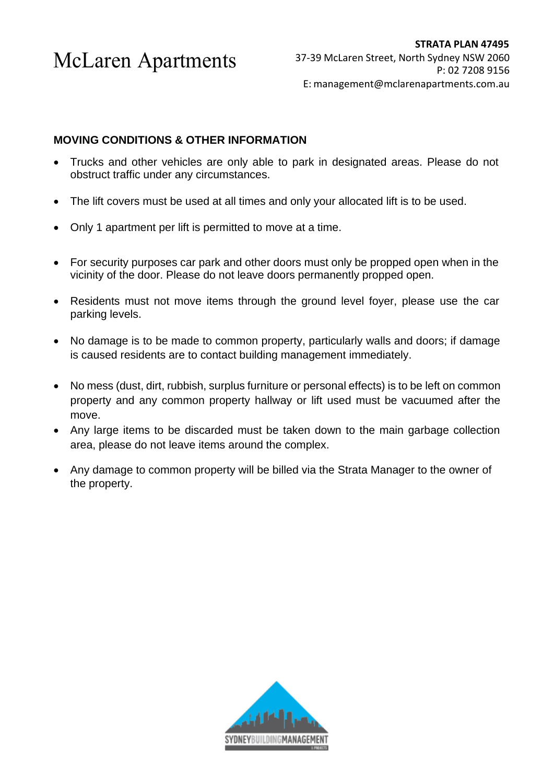#### **MOVING CONDITIONS & OTHER INFORMATION**

- Trucks and other vehicles are only able to park in designated areas. Please do not obstruct traffic under any circumstances.
- The lift covers must be used at all times and only your allocated lift is to be used.
- Only 1 apartment per lift is permitted to move at a time.
- For security purposes car park and other doors must only be propped open when in the vicinity of the door. Please do not leave doors permanently propped open.
- Residents must not move items through the ground level foyer, please use the car parking levels.
- No damage is to be made to common property, particularly walls and doors; if damage is caused residents are to contact building management immediately.
- No mess (dust, dirt, rubbish, surplus furniture or personal effects) is to be left on common property and any common property hallway or lift used must be vacuumed after the move.
- Any large items to be discarded must be taken down to the main garbage collection area, please do not leave items around the complex.
- Any damage to common property will be billed via the Strata Manager to the owner of the property.